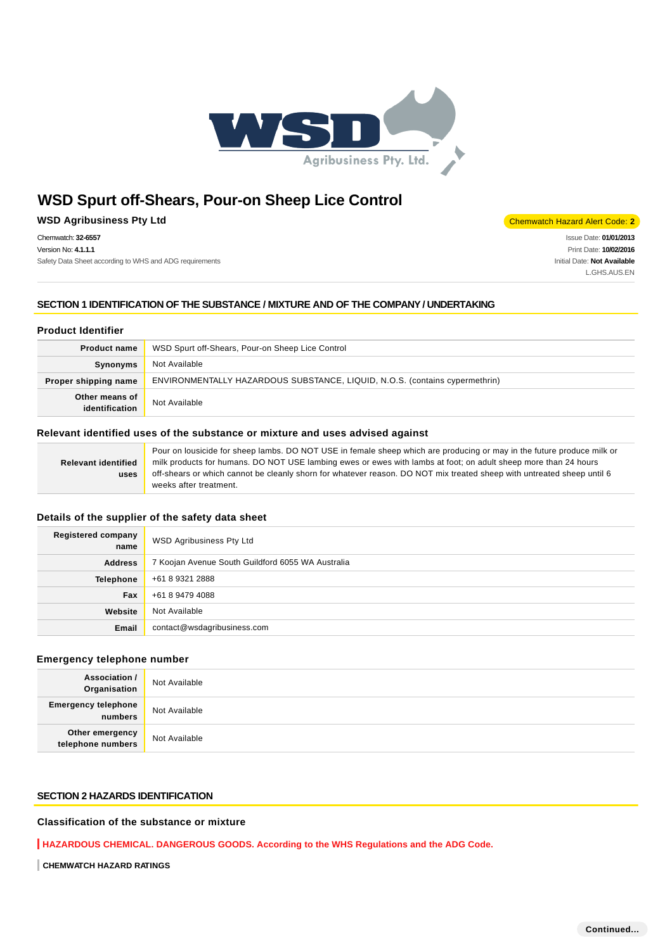

## **WSD Agribusiness Pty Ltd** Chemwatch Hazard Alert Code: **2**

Chemwatch: **32-6557**

Version No: **4.1.1.1** Safety Data Sheet according to WHS and ADG requirements

Issue Date: **01/01/2013** Print Date: **10/02/2016** Initial Date: **Not Available** L.GHS.AUS.EN

## **SECTION 1 IDENTIFICATION OF THE SUBSTANCE / MIXTURE AND OF THE COMPANY / UNDERTAKING**

## **Product Identifier**

| <b>Product name</b>                               | WSD Spurt off-Shears, Pour-on Sheep Lice Control                            |  |
|---------------------------------------------------|-----------------------------------------------------------------------------|--|
| Synonyms                                          | Not Available                                                               |  |
| Proper shipping name                              | ENVIRONMENTALLY HAZARDOUS SUBSTANCE, LIQUID, N.O.S. (contains cypermethrin) |  |
| Other means of<br>Not Available<br>identification |                                                                             |  |

### **Relevant identified uses of the substance or mixture and uses advised against**

|                            | Pour on lousicide for sheep lambs. DO NOT USE in female sheep which are producing or may in the future produce milk or |  |  |
|----------------------------|------------------------------------------------------------------------------------------------------------------------|--|--|
| <b>Relevant identified</b> | milk products for humans. DO NOT USE lambing ewes or ewes with lambs at foot; on adult sheep more than 24 hours        |  |  |
| uses                       | off-shears or which cannot be cleanly shorn for whatever reason. DO NOT mix treated sheep with untreated sheep until 6 |  |  |
|                            | weeks after treatment.                                                                                                 |  |  |

## **Details of the supplier of the safety data sheet**

| <b>Registered company</b><br>name | <b>WSD Agribusiness Pty Ltd</b>                   |  |
|-----------------------------------|---------------------------------------------------|--|
| <b>Address</b>                    | 7 Koojan Avenue South Guildford 6055 WA Australia |  |
| Telephone                         | +61 8 9321 2888                                   |  |
| Fax                               | +61 8 9479 4088                                   |  |
| Website                           | Not Available                                     |  |
| Email                             | contact@wsdagribusiness.com                       |  |

### **Emergency telephone number**

| <b>Association /</b><br>Organisation | Not Available |
|--------------------------------------|---------------|
| Emergency telephone<br>numbers       | Not Available |
| Other emergency<br>telephone numbers | Not Available |

## **SECTION 2 HAZARDS IDENTIFICATION**

### **Classification of the substance or mixture**

**HAZARDOUS CHEMICAL. DANGEROUS GOODS. According to the WHS Regulations and the ADG Code.**

**CHEMWATCH HAZARD RATINGS**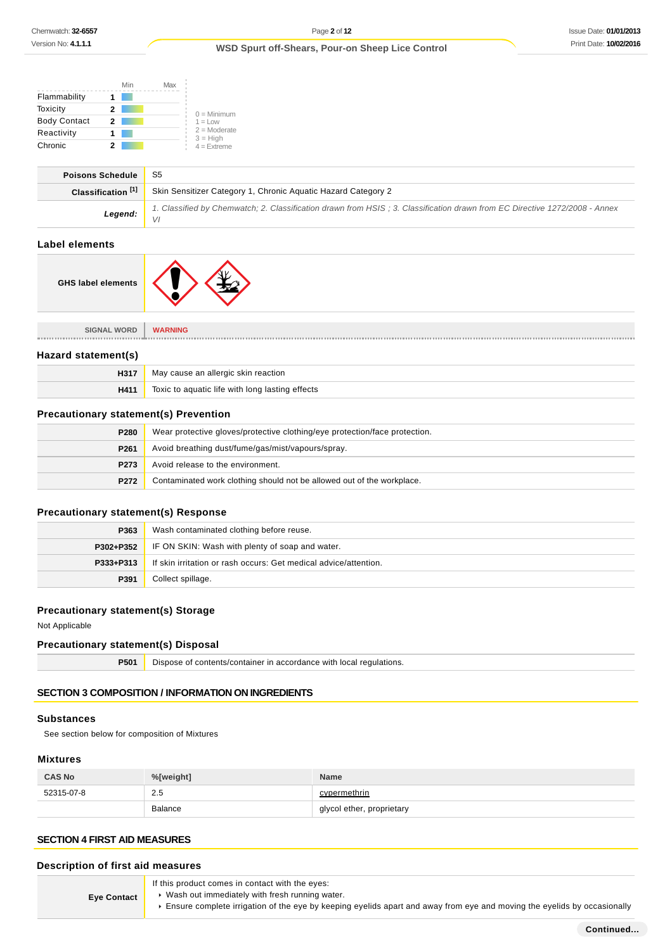|                     | Min | Max |                              |
|---------------------|-----|-----|------------------------------|
| Flammability        |     |     |                              |
| Toxicity            | 2   |     | $0 =$ Minimum                |
| <b>Body Contact</b> | 2   |     | $1 = 1$ OW                   |
| Reactivity          |     |     | $2 =$ Moderate<br>$3 = High$ |
| Chronic             |     |     | $4 =$ Extreme                |

| <b>Poisons Schedule</b>       | -S5                                                                                                                        |  |
|-------------------------------|----------------------------------------------------------------------------------------------------------------------------|--|
| Classification <sup>[1]</sup> | Skin Sensitizer Category 1, Chronic Aquatic Hazard Category 2                                                              |  |
| Legend: $\frac{1}{\sqrt{1}}$  | 1. Classified by Chemwatch; 2. Classification drawn from HSIS; 3. Classification drawn from EC Directive 1272/2008 - Annex |  |

## **Label elements**

| <b>SIGNAL WORD</b>  | <b>WARNING</b>                                  |  |
|---------------------|-------------------------------------------------|--|
|                     |                                                 |  |
| Hazard statement(s) |                                                 |  |
| H317                | May cause an allergic skin reaction             |  |
| H411                | Toxic to aquatic life with long lasting effects |  |

## **Precautionary statement(s) Prevention**

| <b>P280</b>      | Wear protective gloves/protective clothing/eye protection/face protection. |  |
|------------------|----------------------------------------------------------------------------|--|
| P <sub>261</sub> | Avoid breathing dust/fume/gas/mist/vapours/spray.                          |  |
| P273             | Avoid release to the environment.                                          |  |
| P272             | Contaminated work clothing should not be allowed out of the workplace.     |  |

## **Precautionary statement(s) Response**

| P363      | Wash contaminated clothing before reuse.                         |  |
|-----------|------------------------------------------------------------------|--|
| P302+P352 | IF ON SKIN: Wash with plenty of soap and water.                  |  |
| P333+P313 | If skin irritation or rash occurs: Get medical advice/attention. |  |
| P391      | Collect spillage.                                                |  |

## **Precautionary statement(s) Storage**

Not Applicable

## **Precautionary statement(s) Disposal**

| P501 | Dispose of contents/container in accordance with local regulations. |
|------|---------------------------------------------------------------------|
|------|---------------------------------------------------------------------|

## **SECTION 3 COMPOSITION / INFORMATION ON INGREDIENTS**

## **Substances**

See section below for composition of Mixtures

## **Mixtures**

| <b>CAS No</b> | %[weight]      | <b>Name</b>               |
|---------------|----------------|---------------------------|
| 52315-07-8    | 2.5            | cypermethrin              |
|               | <b>Balance</b> | glycol ether, proprietary |

## **SECTION 4 FIRST AID MEASURES**

## **Description of first aid measures**

| <b>Eye Contact</b> | If this product comes in contact with the eyes:<br>▶ Wash out immediately with fresh running water.<br>Ensure complete irrigation of the eye by keeping eyelids apart and away from eye and moving the eyelids by occasionally |
|--------------------|--------------------------------------------------------------------------------------------------------------------------------------------------------------------------------------------------------------------------------|
|--------------------|--------------------------------------------------------------------------------------------------------------------------------------------------------------------------------------------------------------------------------|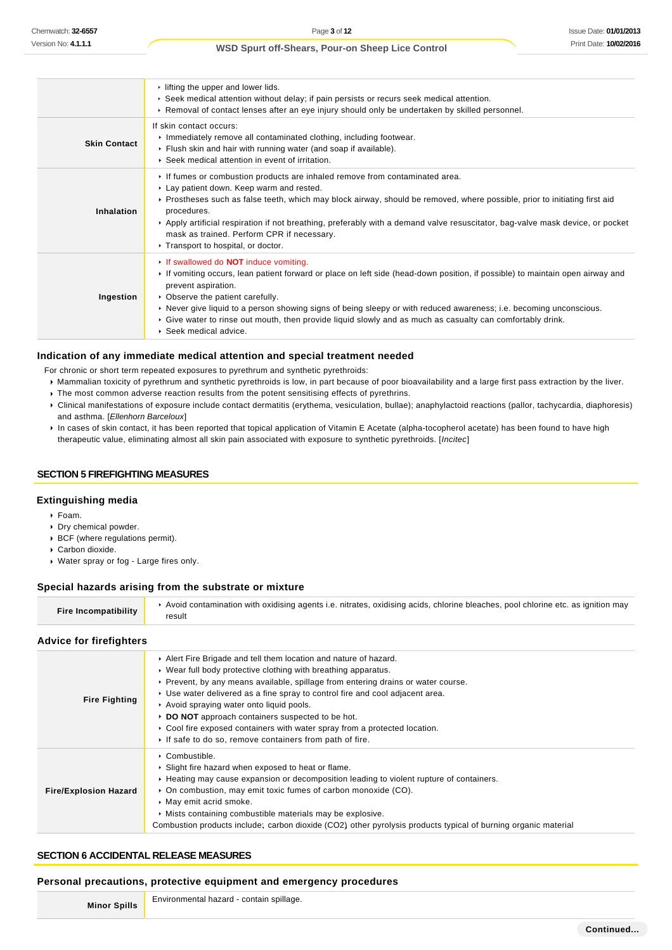|                     | $\cdot$ lifting the upper and lower lids.<br>▶ Seek medical attention without delay; if pain persists or recurs seek medical attention.<br>► Removal of contact lenses after an eye injury should only be undertaken by skilled personnel.                                                                                                                                                                                                                                                                           |
|---------------------|----------------------------------------------------------------------------------------------------------------------------------------------------------------------------------------------------------------------------------------------------------------------------------------------------------------------------------------------------------------------------------------------------------------------------------------------------------------------------------------------------------------------|
| <b>Skin Contact</b> | If skin contact occurs:<br>Inmediately remove all contaminated clothing, including footwear.<br>Flush skin and hair with running water (and soap if available).<br>▶ Seek medical attention in event of irritation.                                                                                                                                                                                                                                                                                                  |
| Inhalation          | If fumes or combustion products are inhaled remove from contaminated area.<br>► Lay patient down. Keep warm and rested.<br>▶ Prostheses such as false teeth, which may block airway, should be removed, where possible, prior to initiating first aid<br>procedures.<br>► Apply artificial respiration if not breathing, preferably with a demand valve resuscitator, bag-valve mask device, or pocket<br>mask as trained. Perform CPR if necessary.<br>Transport to hospital, or doctor.                            |
| Ingestion           | If swallowed do <b>NOT</b> induce vomiting.<br>If vomiting occurs, lean patient forward or place on left side (head-down position, if possible) to maintain open airway and<br>prevent aspiration.<br>$\triangleright$ Observe the patient carefully.<br>► Never give liquid to a person showing signs of being sleepy or with reduced awareness; i.e. becoming unconscious.<br>► Give water to rinse out mouth, then provide liquid slowly and as much as casualty can comfortably drink.<br>▶ Seek medical advice. |

#### **Indication of any immediate medical attention and special treatment needed**

- For chronic or short term repeated exposures to pyrethrum and synthetic pyrethroids:
- Mammalian toxicity of pyrethrum and synthetic pyrethroids is low, in part because of poor bioavailability and a large first pass extraction by the liver.
- $\triangleright$  The most common adverse reaction results from the potent sensitising effects of pyrethrins.
- Clinical manifestations of exposure include contact dermatitis (erythema, vesiculation, bullae); anaphylactoid reactions (pallor, tachycardia, diaphoresis) and asthma. [Ellenhorn Barceloux]
- In cases of skin contact, it has been reported that topical application of Vitamin E Acetate (alpha-tocopherol acetate) has been found to have high therapeutic value, eliminating almost all skin pain associated with exposure to synthetic pyrethroids. [Incitec]

### **SECTION 5 FIREFIGHTING MEASURES**

### **Extinguishing media**

- Foam.
- Dry chemical powder.
- BCF (where regulations permit).
- Carbon dioxide.
- Water spray or fog Large fires only.

#### **Special hazards arising from the substrate or mixture**

| Avoid contamination with oxidising agents i.e. nitrates, oxidising acids, chlorine bleaches, pool chlorine etc. as ignition may<br>Fire Incompatibility<br>result |
|-------------------------------------------------------------------------------------------------------------------------------------------------------------------|
|-------------------------------------------------------------------------------------------------------------------------------------------------------------------|

#### **Advice for firefighters**

| <b>Fire Fighting</b>         | Alert Fire Brigade and tell them location and nature of hazard.<br>► Wear full body protective clothing with breathing apparatus.<br>▶ Prevent, by any means available, spillage from entering drains or water course.<br>► Use water delivered as a fine spray to control fire and cool adjacent area.<br>Avoid spraying water onto liquid pools.<br>▶ DO NOT approach containers suspected to be hot.<br>▶ Cool fire exposed containers with water spray from a protected location.<br>If safe to do so, remove containers from path of fire. |
|------------------------------|-------------------------------------------------------------------------------------------------------------------------------------------------------------------------------------------------------------------------------------------------------------------------------------------------------------------------------------------------------------------------------------------------------------------------------------------------------------------------------------------------------------------------------------------------|
| <b>Fire/Explosion Hazard</b> | $\triangleright$ Combustible.<br>▶ Slight fire hazard when exposed to heat or flame.<br>▶ Heating may cause expansion or decomposition leading to violent rupture of containers.<br>• On combustion, may emit toxic fumes of carbon monoxide (CO).<br>• May emit acrid smoke.<br>• Mists containing combustible materials may be explosive.<br>Combustion products include; carbon dioxide (CO2) other pyrolysis products typical of burning organic material                                                                                   |

#### **SECTION 6 ACCIDENTAL RELEASE MEASURES**

#### **Personal precautions, protective equipment and emergency procedures**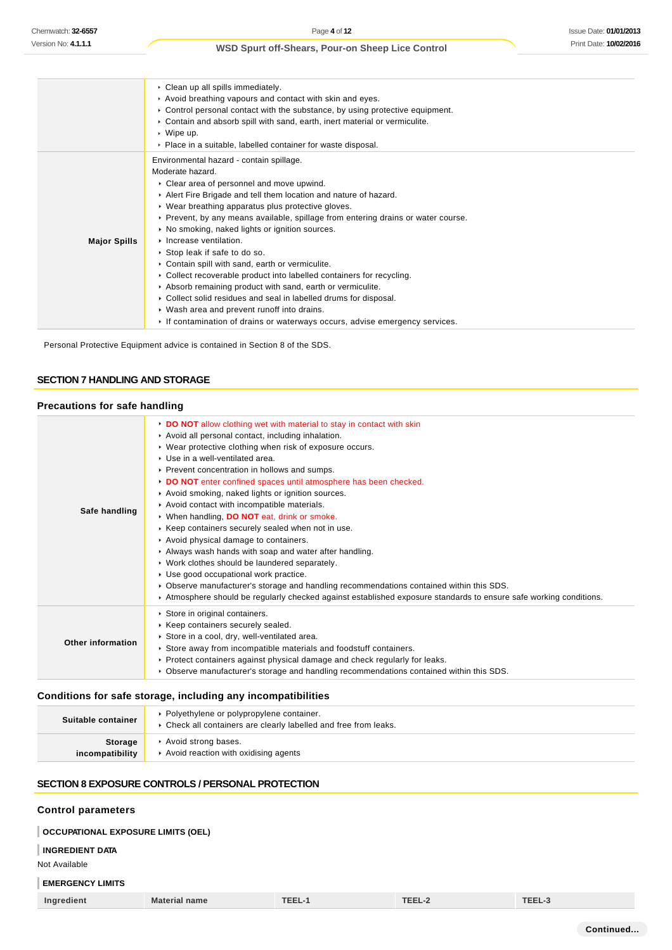|                     | • Clean up all spills immediately.<br>Avoid breathing vapours and contact with skin and eyes.<br>$\triangleright$ Control personal contact with the substance, by using protective equipment.<br>► Contain and absorb spill with sand, earth, inert material or vermiculite.<br>$\triangleright$ Wipe up.<br>• Place in a suitable, labelled container for waste disposal.                                                                                                                                                                                                                                                                                                                                                                                           |
|---------------------|----------------------------------------------------------------------------------------------------------------------------------------------------------------------------------------------------------------------------------------------------------------------------------------------------------------------------------------------------------------------------------------------------------------------------------------------------------------------------------------------------------------------------------------------------------------------------------------------------------------------------------------------------------------------------------------------------------------------------------------------------------------------|
| <b>Major Spills</b> | Environmental hazard - contain spillage.<br>Moderate hazard.<br>• Clear area of personnel and move upwind.<br>Alert Fire Brigade and tell them location and nature of hazard.<br>• Wear breathing apparatus plus protective gloves.<br>► Prevent, by any means available, spillage from entering drains or water course.<br>• No smoking, naked lights or ignition sources.<br>$\triangleright$ Increase ventilation.<br>▶ Stop leak if safe to do so.<br>• Contain spill with sand, earth or vermiculite.<br>• Collect recoverable product into labelled containers for recycling.<br>Absorb remaining product with sand, earth or vermiculite.<br>• Collect solid residues and seal in labelled drums for disposal.<br>• Wash area and prevent runoff into drains. |
|                     | If contamination of drains or waterways occurs, advise emergency services.                                                                                                                                                                                                                                                                                                                                                                                                                                                                                                                                                                                                                                                                                           |

Personal Protective Equipment advice is contained in Section 8 of the SDS.

## **SECTION 7 HANDLING AND STORAGE**

## **Precautions for safe handling**

| Safe handling     | DO NOT allow clothing wet with material to stay in contact with skin<br>Avoid all personal contact, including inhalation.<br>▶ Wear protective clothing when risk of exposure occurs.<br>▶ Use in a well-ventilated area.<br>▶ Prevent concentration in hollows and sumps.<br>DO NOT enter confined spaces until atmosphere has been checked.<br>Avoid smoking, naked lights or ignition sources.<br>Avoid contact with incompatible materials.<br>▶ When handling, DO NOT eat, drink or smoke.<br>▶ Keep containers securely sealed when not in use.<br>Avoid physical damage to containers.<br>Always wash hands with soap and water after handling.<br>• Work clothes should be laundered separately.<br>▶ Use good occupational work practice.<br>▶ Observe manufacturer's storage and handling recommendations contained within this SDS.<br>Atmosphere should be regularly checked against established exposure standards to ensure safe working conditions. |
|-------------------|--------------------------------------------------------------------------------------------------------------------------------------------------------------------------------------------------------------------------------------------------------------------------------------------------------------------------------------------------------------------------------------------------------------------------------------------------------------------------------------------------------------------------------------------------------------------------------------------------------------------------------------------------------------------------------------------------------------------------------------------------------------------------------------------------------------------------------------------------------------------------------------------------------------------------------------------------------------------|
| Other information | Store in original containers.<br>▶ Keep containers securely sealed.<br>Store in a cool, dry, well-ventilated area.<br>► Store away from incompatible materials and foodstuff containers.<br>▶ Protect containers against physical damage and check regularly for leaks.<br>► Observe manufacturer's storage and handling recommendations contained within this SDS.                                                                                                                                                                                                                                                                                                                                                                                                                                                                                                                                                                                                |

## **Conditions for safe storage, including any incompatibilities**

| Suitable container | ▶ Polyethylene or polypropylene container.<br>▶ Check all containers are clearly labelled and free from leaks. |
|--------------------|----------------------------------------------------------------------------------------------------------------|
| <b>Storage</b>     | Avoid strong bases.                                                                                            |
| incompatibility    | Avoid reaction with oxidising agents                                                                           |

## **SECTION 8 EXPOSURE CONTROLS / PERSONAL PROTECTION**

### **Control parameters**

#### **OCCUPATIONAL EXPOSURE LIMITS (OEL)**

### **INGREDIENT DATA**

Not Available

## **EMERGENCY LIMITS**

| $-$<br>Ingredient | <b>Material name</b> | <b>TEEL-1</b> | TEEL-2 | TEEL-3 |
|-------------------|----------------------|---------------|--------|--------|
|-------------------|----------------------|---------------|--------|--------|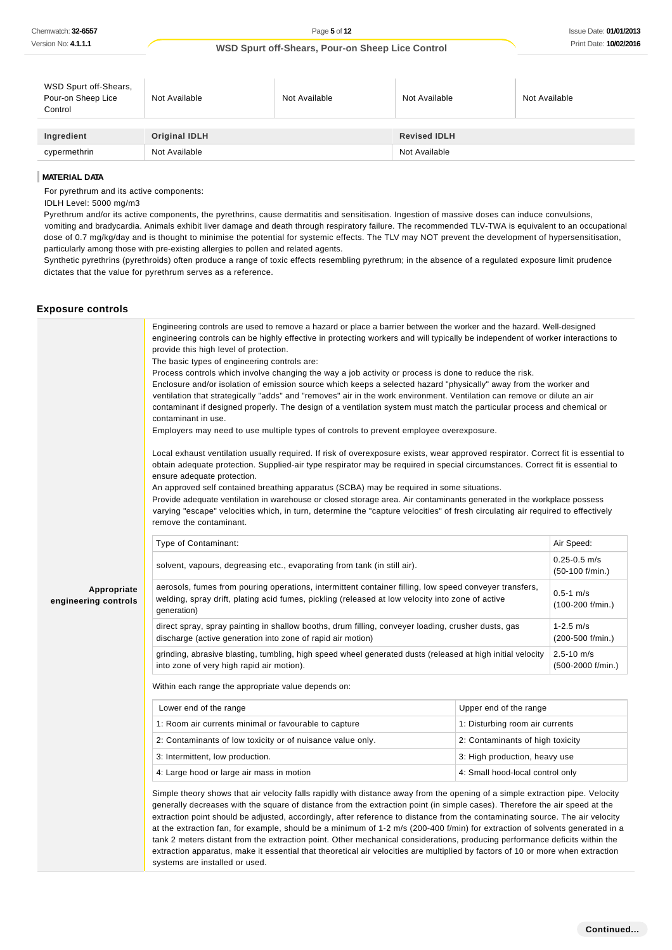| WSD Spurt off-Shears,<br>Pour-on Sheep Lice<br>Control | Not Available        | Not Available | Not Available       | Not Available |
|--------------------------------------------------------|----------------------|---------------|---------------------|---------------|
| Ingredient                                             | <b>Original IDLH</b> |               | <b>Revised IDLH</b> |               |
| cypermethrin                                           | Not Available        |               | Not Available       |               |

#### **MATERIAL DATA**

For pyrethrum and its active components:

IDLH Level: 5000 mg/m3

Pyrethrum and/or its active components, the pyrethrins, cause dermatitis and sensitisation. Ingestion of massive doses can induce convulsions, vomiting and bradycardia. Animals exhibit liver damage and death through respiratory failure. The recommended TLV-TWA is equivalent to an occupational dose of 0.7 mg/kg/day and is thought to minimise the potential for systemic effects. The TLV may NOT prevent the development of hypersensitisation, particularly among those with pre-existing allergies to pollen and related agents.

Synthetic pyrethrins (pyrethroids) often produce a range of toxic effects resembling pyrethrum; in the absence of a regulated exposure limit prudence dictates that the value for pyrethrum serves as a reference.

#### **Exposure controls**

|                                     | Engineering controls are used to remove a hazard or place a barrier between the worker and the hazard. Well-designed<br>engineering controls can be highly effective in protecting workers and will typically be independent of worker interactions to<br>provide this high level of protection.<br>The basic types of engineering controls are:<br>Process controls which involve changing the way a job activity or process is done to reduce the risk.<br>Enclosure and/or isolation of emission source which keeps a selected hazard "physically" away from the worker and<br>ventilation that strategically "adds" and "removes" air in the work environment. Ventilation can remove or dilute an air<br>contaminant if designed properly. The design of a ventilation system must match the particular process and chemical or<br>contaminant in use.<br>Employers may need to use multiple types of controls to prevent employee overexposure.<br>Local exhaust ventilation usually required. If risk of overexposure exists, wear approved respirator. Correct fit is essential to<br>obtain adequate protection. Supplied-air type respirator may be required in special circumstances. Correct fit is essential to<br>ensure adequate protection. |                                     |                                     |
|-------------------------------------|-------------------------------------------------------------------------------------------------------------------------------------------------------------------------------------------------------------------------------------------------------------------------------------------------------------------------------------------------------------------------------------------------------------------------------------------------------------------------------------------------------------------------------------------------------------------------------------------------------------------------------------------------------------------------------------------------------------------------------------------------------------------------------------------------------------------------------------------------------------------------------------------------------------------------------------------------------------------------------------------------------------------------------------------------------------------------------------------------------------------------------------------------------------------------------------------------------------------------------------------------------------|-------------------------------------|-------------------------------------|
|                                     | An approved self contained breathing apparatus (SCBA) may be required in some situations.                                                                                                                                                                                                                                                                                                                                                                                                                                                                                                                                                                                                                                                                                                                                                                                                                                                                                                                                                                                                                                                                                                                                                                   |                                     |                                     |
|                                     | Provide adequate ventilation in warehouse or closed storage area. Air contaminants generated in the workplace possess<br>varying "escape" velocities which, in turn, determine the "capture velocities" of fresh circulating air required to effectively<br>remove the contaminant.                                                                                                                                                                                                                                                                                                                                                                                                                                                                                                                                                                                                                                                                                                                                                                                                                                                                                                                                                                         |                                     |                                     |
|                                     | Type of Contaminant:                                                                                                                                                                                                                                                                                                                                                                                                                                                                                                                                                                                                                                                                                                                                                                                                                                                                                                                                                                                                                                                                                                                                                                                                                                        |                                     | Air Speed:                          |
|                                     | solvent, vapours, degreasing etc., evaporating from tank (in still air).                                                                                                                                                                                                                                                                                                                                                                                                                                                                                                                                                                                                                                                                                                                                                                                                                                                                                                                                                                                                                                                                                                                                                                                    |                                     | $0.25 - 0.5$ m/s<br>(50-100 f/min.) |
| Appropriate<br>engineering controls | aerosols, fumes from pouring operations, intermittent container filling, low speed conveyer transfers,<br>welding, spray drift, plating acid fumes, pickling (released at low velocity into zone of active<br>generation)                                                                                                                                                                                                                                                                                                                                                                                                                                                                                                                                                                                                                                                                                                                                                                                                                                                                                                                                                                                                                                   | $0.5 - 1$ m/s<br>$(100-200$ f/min.) |                                     |
|                                     | direct spray, spray painting in shallow booths, drum filling, conveyer loading, crusher dusts, gas<br>discharge (active generation into zone of rapid air motion)                                                                                                                                                                                                                                                                                                                                                                                                                                                                                                                                                                                                                                                                                                                                                                                                                                                                                                                                                                                                                                                                                           |                                     | $1 - 2.5$ m/s<br>(200-500 f/min.)   |
|                                     | grinding, abrasive blasting, tumbling, high speed wheel generated dusts (released at high initial velocity<br>into zone of very high rapid air motion).                                                                                                                                                                                                                                                                                                                                                                                                                                                                                                                                                                                                                                                                                                                                                                                                                                                                                                                                                                                                                                                                                                     |                                     | $2.5 - 10$ m/s<br>(500-2000 f/min.) |
|                                     | Within each range the appropriate value depends on:                                                                                                                                                                                                                                                                                                                                                                                                                                                                                                                                                                                                                                                                                                                                                                                                                                                                                                                                                                                                                                                                                                                                                                                                         |                                     |                                     |
|                                     | Lower end of the range                                                                                                                                                                                                                                                                                                                                                                                                                                                                                                                                                                                                                                                                                                                                                                                                                                                                                                                                                                                                                                                                                                                                                                                                                                      | Upper end of the range              |                                     |
|                                     | 1: Room air currents minimal or favourable to capture                                                                                                                                                                                                                                                                                                                                                                                                                                                                                                                                                                                                                                                                                                                                                                                                                                                                                                                                                                                                                                                                                                                                                                                                       | 1: Disturbing room air currents     |                                     |
|                                     | 2: Contaminants of low toxicity or of nuisance value only.                                                                                                                                                                                                                                                                                                                                                                                                                                                                                                                                                                                                                                                                                                                                                                                                                                                                                                                                                                                                                                                                                                                                                                                                  | 2: Contaminants of high toxicity    |                                     |
|                                     | 3: Intermittent, low production.                                                                                                                                                                                                                                                                                                                                                                                                                                                                                                                                                                                                                                                                                                                                                                                                                                                                                                                                                                                                                                                                                                                                                                                                                            | 3: High production, heavy use       |                                     |
|                                     | 4: Large hood or large air mass in motion                                                                                                                                                                                                                                                                                                                                                                                                                                                                                                                                                                                                                                                                                                                                                                                                                                                                                                                                                                                                                                                                                                                                                                                                                   | 4: Small hood-local control only    |                                     |
|                                     | Simple theory shows that air velocity falls rapidly with distance away from the opening of a simple extraction pipe. Velocity<br>generally decreases with the square of distance from the extraction point (in simple cases). Therefore the air speed at the<br>extraction point should be adjusted, accordingly, after reference to distance from the contaminating source. The air velocity<br>at the extraction fan, for example, should be a minimum of 1-2 m/s (200-400 f/min) for extraction of solvents generated in a<br>tank 2 meters distant from the extraction point. Other mechanical considerations, producing performance deficits within the<br>extraction apparatus, make it essential that theoretical air velocities are multiplied by factors of 10 or more when extraction<br>systems are installed or used.                                                                                                                                                                                                                                                                                                                                                                                                                           |                                     |                                     |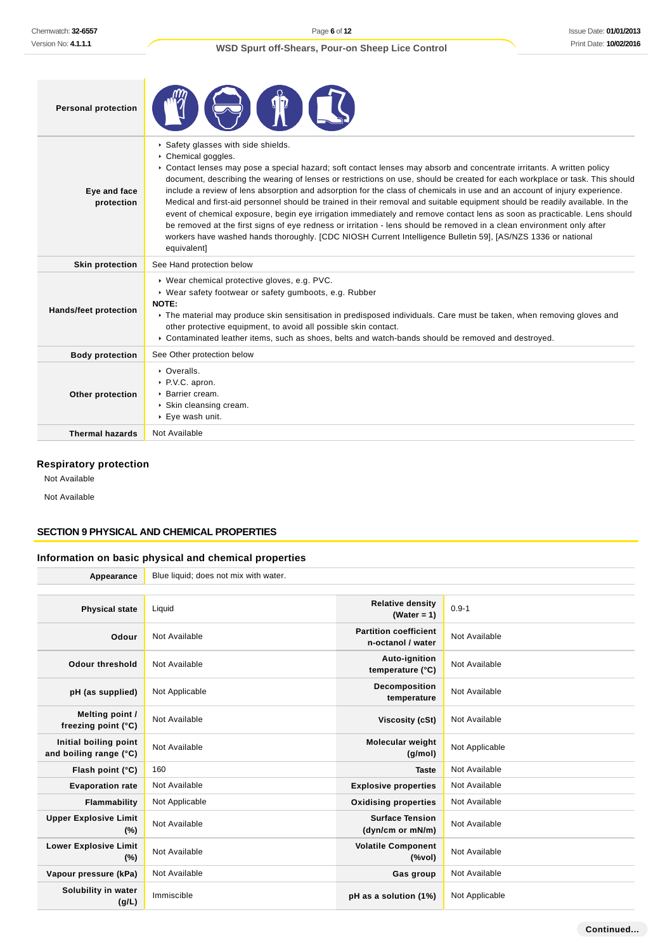| <b>Personal protection</b>   |                                                                                                                                                                                                                                                                                                                                                                                                                                                                                                                                                                                                                                                                                                                                                                                                                                                                                                                                                                    |
|------------------------------|--------------------------------------------------------------------------------------------------------------------------------------------------------------------------------------------------------------------------------------------------------------------------------------------------------------------------------------------------------------------------------------------------------------------------------------------------------------------------------------------------------------------------------------------------------------------------------------------------------------------------------------------------------------------------------------------------------------------------------------------------------------------------------------------------------------------------------------------------------------------------------------------------------------------------------------------------------------------|
| Eye and face<br>protection   | Safety glasses with side shields.<br>Chemical goggles.<br>► Contact lenses may pose a special hazard; soft contact lenses may absorb and concentrate irritants. A written policy<br>document, describing the wearing of lenses or restrictions on use, should be created for each workplace or task. This should<br>include a review of lens absorption and adsorption for the class of chemicals in use and an account of injury experience.<br>Medical and first-aid personnel should be trained in their removal and suitable equipment should be readily available. In the<br>event of chemical exposure, begin eye irrigation immediately and remove contact lens as soon as practicable. Lens should<br>be removed at the first signs of eye redness or irritation - lens should be removed in a clean environment only after<br>workers have washed hands thoroughly. [CDC NIOSH Current Intelligence Bulletin 59], [AS/NZS 1336 or national<br>equivalent] |
| <b>Skin protection</b>       | See Hand protection below                                                                                                                                                                                                                                                                                                                                                                                                                                                                                                                                                                                                                                                                                                                                                                                                                                                                                                                                          |
| <b>Hands/feet protection</b> | ▶ Wear chemical protective gloves, e.g. PVC.<br>▶ Wear safety footwear or safety gumboots, e.g. Rubber<br>NOTE:<br>► The material may produce skin sensitisation in predisposed individuals. Care must be taken, when removing gloves and<br>other protective equipment, to avoid all possible skin contact.<br>▶ Contaminated leather items, such as shoes, belts and watch-bands should be removed and destroyed.                                                                                                                                                                                                                                                                                                                                                                                                                                                                                                                                                |
| <b>Body protection</b>       | See Other protection below                                                                                                                                                                                                                                                                                                                                                                                                                                                                                                                                                                                                                                                                                                                                                                                                                                                                                                                                         |
| Other protection             | • Overalls.<br>▶ P.V.C. apron.<br>▶ Barrier cream.<br>▶ Skin cleansing cream.<br>▶ Eye wash unit.                                                                                                                                                                                                                                                                                                                                                                                                                                                                                                                                                                                                                                                                                                                                                                                                                                                                  |
| <b>Thermal hazards</b>       | Not Available                                                                                                                                                                                                                                                                                                                                                                                                                                                                                                                                                                                                                                                                                                                                                                                                                                                                                                                                                      |

## **Respiratory protection**

Not Available

Not Available

## **SECTION 9 PHYSICAL AND CHEMICAL PROPERTIES**

## **Information on basic physical and chemical properties**

| Appearance                                      | Blue liquid; does not mix with water. |                                                   |                |
|-------------------------------------------------|---------------------------------------|---------------------------------------------------|----------------|
|                                                 |                                       |                                                   |                |
| <b>Physical state</b>                           | Liquid                                | <b>Relative density</b><br>(Water = $1$ )         | $0.9 - 1$      |
| Odour                                           | Not Available                         | <b>Partition coefficient</b><br>n-octanol / water | Not Available  |
| <b>Odour threshold</b>                          | Not Available                         | Auto-ignition<br>temperature (°C)                 | Not Available  |
| pH (as supplied)                                | Not Applicable                        | Decomposition<br>temperature                      | Not Available  |
| Melting point /<br>freezing point (°C)          | Not Available                         | Viscosity (cSt)                                   | Not Available  |
| Initial boiling point<br>and boiling range (°C) | Not Available                         | Molecular weight<br>(g/mol)                       | Not Applicable |
| Flash point (°C)                                | 160                                   | <b>Taste</b>                                      | Not Available  |
| <b>Evaporation rate</b>                         | Not Available                         | <b>Explosive properties</b>                       | Not Available  |
| Flammability                                    | Not Applicable                        | <b>Oxidising properties</b>                       | Not Available  |
| <b>Upper Explosive Limit</b><br>(%)             | Not Available                         | <b>Surface Tension</b><br>(dyn/cm or mN/m)        | Not Available  |
| <b>Lower Explosive Limit</b><br>(%)             | Not Available                         | <b>Volatile Component</b><br>$(\%$ vol)           | Not Available  |
| Vapour pressure (kPa)                           | Not Available                         | Gas group                                         | Not Available  |
| Solubility in water<br>(g/L)                    | Immiscible                            | pH as a solution (1%)                             | Not Applicable |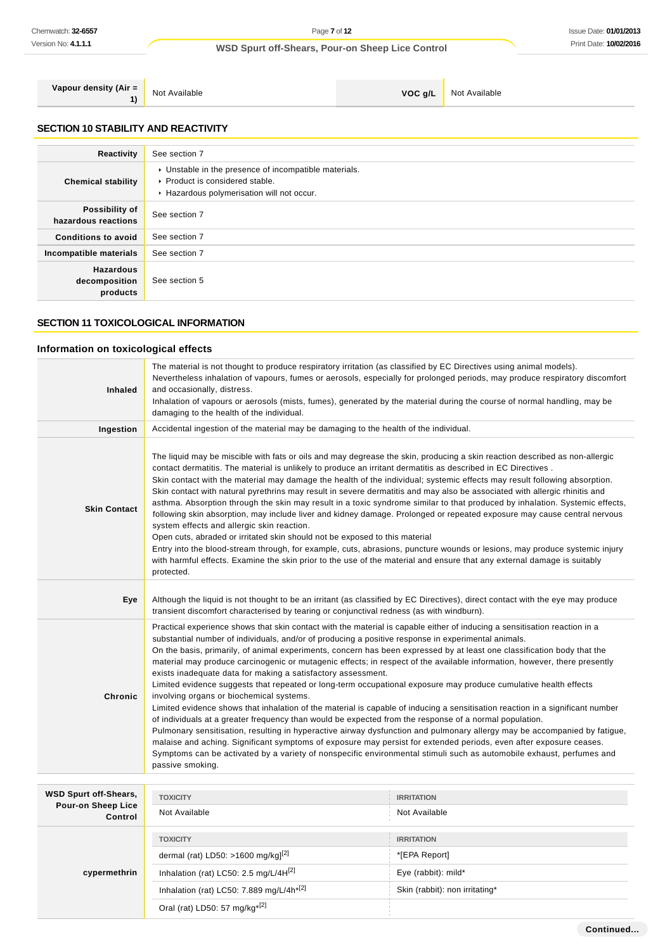**Vapour density (Air = 1)**

Not Available **VOC g/L** Not Available

## **SECTION 10 STABILITY AND REACTIVITY**

|                                               | See section 7                                                                                                                        |
|-----------------------------------------------|--------------------------------------------------------------------------------------------------------------------------------------|
| Reactivity                                    |                                                                                                                                      |
| <b>Chemical stability</b>                     | • Unstable in the presence of incompatible materials.<br>▶ Product is considered stable.<br>Hazardous polymerisation will not occur. |
| Possibility of<br>hazardous reactions         | See section 7                                                                                                                        |
| <b>Conditions to avoid</b>                    | See section 7                                                                                                                        |
| Incompatible materials                        | See section 7                                                                                                                        |
| <b>Hazardous</b><br>decomposition<br>products | See section 5                                                                                                                        |

### **SECTION 11 TOXICOLOGICAL INFORMATION**

## **Information on toxicological effects**

| Inhaled                              | The material is not thought to produce respiratory irritation (as classified by EC Directives using animal models).<br>Nevertheless inhalation of vapours, fumes or aerosols, especially for prolonged periods, may produce respiratory discomfort<br>and occasionally, distress.<br>Inhalation of vapours or aerosols (mists, fumes), generated by the material during the course of normal handling, may be<br>damaging to the health of the individual.                                                                                                                                                                                                                                                                                                                                                                                                                                                                                                                                                                                                                                                                                                                                                                                                                                                                                                           |                                |  |  |
|--------------------------------------|----------------------------------------------------------------------------------------------------------------------------------------------------------------------------------------------------------------------------------------------------------------------------------------------------------------------------------------------------------------------------------------------------------------------------------------------------------------------------------------------------------------------------------------------------------------------------------------------------------------------------------------------------------------------------------------------------------------------------------------------------------------------------------------------------------------------------------------------------------------------------------------------------------------------------------------------------------------------------------------------------------------------------------------------------------------------------------------------------------------------------------------------------------------------------------------------------------------------------------------------------------------------------------------------------------------------------------------------------------------------|--------------------------------|--|--|
| Ingestion                            | Accidental ingestion of the material may be damaging to the health of the individual.                                                                                                                                                                                                                                                                                                                                                                                                                                                                                                                                                                                                                                                                                                                                                                                                                                                                                                                                                                                                                                                                                                                                                                                                                                                                                |                                |  |  |
| <b>Skin Contact</b>                  | The liquid may be miscible with fats or oils and may degrease the skin, producing a skin reaction described as non-allergic<br>contact dermatitis. The material is unlikely to produce an irritant dermatitis as described in EC Directives.<br>Skin contact with the material may damage the health of the individual; systemic effects may result following absorption.<br>Skin contact with natural pyrethrins may result in severe dermatitis and may also be associated with allergic rhinitis and<br>asthma. Absorption through the skin may result in a toxic syndrome similar to that produced by inhalation. Systemic effects,<br>following skin absorption, may include liver and kidney damage. Prolonged or repeated exposure may cause central nervous<br>system effects and allergic skin reaction.<br>Open cuts, abraded or irritated skin should not be exposed to this material<br>Entry into the blood-stream through, for example, cuts, abrasions, puncture wounds or lesions, may produce systemic injury<br>with harmful effects. Examine the skin prior to the use of the material and ensure that any external damage is suitably<br>protected.                                                                                                                                                                                              |                                |  |  |
| Eye                                  | Although the liquid is not thought to be an irritant (as classified by EC Directives), direct contact with the eye may produce<br>transient discomfort characterised by tearing or conjunctival redness (as with windburn).                                                                                                                                                                                                                                                                                                                                                                                                                                                                                                                                                                                                                                                                                                                                                                                                                                                                                                                                                                                                                                                                                                                                          |                                |  |  |
| Chronic                              | Practical experience shows that skin contact with the material is capable either of inducing a sensitisation reaction in a<br>substantial number of individuals, and/or of producing a positive response in experimental animals.<br>On the basis, primarily, of animal experiments, concern has been expressed by at least one classification body that the<br>material may produce carcinogenic or mutagenic effects; in respect of the available information, however, there presently<br>exists inadequate data for making a satisfactory assessment.<br>Limited evidence suggests that repeated or long-term occupational exposure may produce cumulative health effects<br>involving organs or biochemical systems.<br>Limited evidence shows that inhalation of the material is capable of inducing a sensitisation reaction in a significant number<br>of individuals at a greater frequency than would be expected from the response of a normal population.<br>Pulmonary sensitisation, resulting in hyperactive airway dysfunction and pulmonary allergy may be accompanied by fatigue,<br>malaise and aching. Significant symptoms of exposure may persist for extended periods, even after exposure ceases.<br>Symptoms can be activated by a variety of nonspecific environmental stimuli such as automobile exhaust, perfumes and<br>passive smoking. |                                |  |  |
| <b>WSD Spurt off-Shears,</b>         | <b>TOXICITY</b>                                                                                                                                                                                                                                                                                                                                                                                                                                                                                                                                                                                                                                                                                                                                                                                                                                                                                                                                                                                                                                                                                                                                                                                                                                                                                                                                                      | <b>IRRITATION</b>              |  |  |
| <b>Pour-on Sheep Lice</b><br>Control | Not Available                                                                                                                                                                                                                                                                                                                                                                                                                                                                                                                                                                                                                                                                                                                                                                                                                                                                                                                                                                                                                                                                                                                                                                                                                                                                                                                                                        | Not Available                  |  |  |
|                                      | <b>TOXICITY</b>                                                                                                                                                                                                                                                                                                                                                                                                                                                                                                                                                                                                                                                                                                                                                                                                                                                                                                                                                                                                                                                                                                                                                                                                                                                                                                                                                      | <b>IRRITATION</b>              |  |  |
|                                      | dermal (rat) LD50: >1600 mg/kg] <sup>[2]</sup>                                                                                                                                                                                                                                                                                                                                                                                                                                                                                                                                                                                                                                                                                                                                                                                                                                                                                                                                                                                                                                                                                                                                                                                                                                                                                                                       | *[EPA Report]                  |  |  |
| cypermethrin                         | Inhalation (rat) LC50: 2.5 mg/L/4H <sup>[2]</sup>                                                                                                                                                                                                                                                                                                                                                                                                                                                                                                                                                                                                                                                                                                                                                                                                                                                                                                                                                                                                                                                                                                                                                                                                                                                                                                                    | Eye (rabbit): mild*            |  |  |
|                                      | Inhalation (rat) LC50: 7.889 mg/L/4h <sup>*[2]</sup>                                                                                                                                                                                                                                                                                                                                                                                                                                                                                                                                                                                                                                                                                                                                                                                                                                                                                                                                                                                                                                                                                                                                                                                                                                                                                                                 | Skin (rabbit): non irritating* |  |  |
|                                      | Oral (rat) LD50: 57 mg/kg <sup>*[2]</sup>                                                                                                                                                                                                                                                                                                                                                                                                                                                                                                                                                                                                                                                                                                                                                                                                                                                                                                                                                                                                                                                                                                                                                                                                                                                                                                                            |                                |  |  |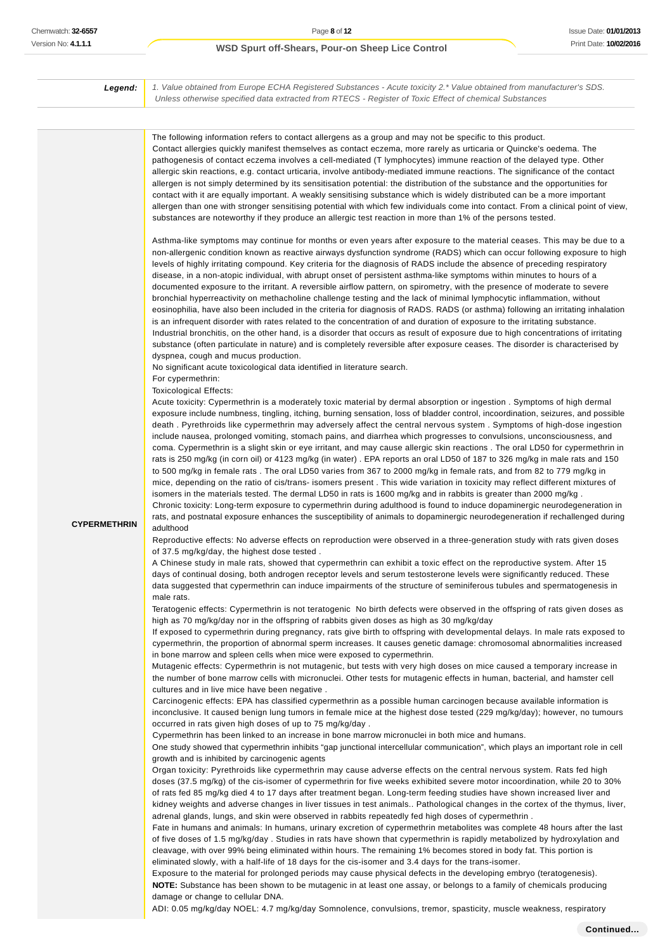Issue Date: **01/01/2013** Print Date: **10/02/2016**

#### **WSD Spurt off-Shears, Pour-on Sheep Lice Control**

**Legend:** 1. Value obtained from Europe ECHA Registered Substances - Acute toxicity 2.\* Value obtained from manufacturer's SDS. Unless otherwise specified data extracted from RTECS - Register of Toxic Effect of chemical Substances

The following information refers to contact allergens as a group and may not be specific to this product. Contact allergies quickly manifest themselves as contact eczema, more rarely as urticaria or Quincke's oedema. The pathogenesis of contact eczema involves a cell-mediated (T lymphocytes) immune reaction of the delayed type. Other allergic skin reactions, e.g. contact urticaria, involve antibody-mediated immune reactions. The significance of the contact allergen is not simply determined by its sensitisation potential: the distribution of the substance and the opportunities for contact with it are equally important. A weakly sensitising substance which is widely distributed can be a more important allergen than one with stronger sensitising potential with which few individuals come into contact. From a clinical point of view, substances are noteworthy if they produce an allergic test reaction in more than 1% of the persons tested. Asthma-like symptoms may continue for months or even years after exposure to the material ceases. This may be due to a non-allergenic condition known as reactive airways dysfunction syndrome (RADS) which can occur following exposure to high levels of highly irritating compound. Key criteria for the diagnosis of RADS include the absence of preceding respiratory disease, in a non-atopic individual, with abrupt onset of persistent asthma-like symptoms within minutes to hours of a documented exposure to the irritant. A reversible airflow pattern, on spirometry, with the presence of moderate to severe bronchial hyperreactivity on methacholine challenge testing and the lack of minimal lymphocytic inflammation, without eosinophilia, have also been included in the criteria for diagnosis of RADS. RADS (or asthma) following an irritating inhalation is an infrequent disorder with rates related to the concentration of and duration of exposure to the irritating substance.

Industrial bronchitis, on the other hand, is a disorder that occurs as result of exposure due to high concentrations of irritating substance (often particulate in nature) and is completely reversible after exposure ceases. The disorder is characterised by dyspnea, cough and mucus production.

No significant acute toxicological data identified in literature search.

For cypermethrin:

Toxicological Effects:

adulthood

Acute toxicity: Cypermethrin is a moderately toxic material by dermal absorption or ingestion . Symptoms of high dermal exposure include numbness, tingling, itching, burning sensation, loss of bladder control, incoordination, seizures, and possible death . Pyrethroids like cypermethrin may adversely affect the central nervous system . Symptoms of high-dose ingestion include nausea, prolonged vomiting, stomach pains, and diarrhea which progresses to convulsions, unconsciousness, and coma. Cypermethrin is a slight skin or eye irritant, and may cause allergic skin reactions . The oral LD50 for cypermethrin in rats is 250 mg/kg (in corn oil) or 4123 mg/kg (in water) . EPA reports an oral LD50 of 187 to 326 mg/kg in male rats and 150 to 500 mg/kg in female rats . The oral LD50 varies from 367 to 2000 mg/kg in female rats, and from 82 to 779 mg/kg in mice, depending on the ratio of cis/trans- isomers present . This wide variation in toxicity may reflect different mixtures of isomers in the materials tested. The dermal LD50 in rats is 1600 mg/kg and in rabbits is greater than 2000 mg/kg.

#### **CYPERMETHRIN**

Reproductive effects: No adverse effects on reproduction were observed in a three-generation study with rats given doses of 37.5 mg/kg/day, the highest dose tested .

Chronic toxicity: Long-term exposure to cypermethrin during adulthood is found to induce dopaminergic neurodegeneration in rats, and postnatal exposure enhances the susceptibility of animals to dopaminergic neurodegeneration if rechallenged during

A Chinese study in male rats, showed that cypermethrin can exhibit a toxic effect on the reproductive system. After 15 days of continual dosing, both androgen receptor levels and serum testosterone levels were significantly reduced. These data suggested that cypermethrin can induce impairments of the structure of seminiferous tubules and spermatogenesis in male rats.

Teratogenic effects: Cypermethrin is not teratogenic No birth defects were observed in the offspring of rats given doses as high as 70 mg/kg/day nor in the offspring of rabbits given doses as high as 30 mg/kg/day

If exposed to cypermethrin during pregnancy, rats give birth to offspring with developmental delays. In male rats exposed to cypermethrin, the proportion of abnormal sperm increases. It causes genetic damage: chromosomal abnormalities increased in bone marrow and spleen cells when mice were exposed to cypermethrin.

Mutagenic effects: Cypermethrin is not mutagenic, but tests with very high doses on mice caused a temporary increase in the number of bone marrow cells with micronuclei. Other tests for mutagenic effects in human, bacterial, and hamster cell cultures and in live mice have been negative .

Carcinogenic effects: EPA has classified cypermethrin as a possible human carcinogen because available information is inconclusive. It caused benign lung tumors in female mice at the highest dose tested (229 mg/kg/day); however, no tumours occurred in rats given high doses of up to 75 mg/kg/day .

Cypermethrin has been linked to an increase in bone marrow micronuclei in both mice and humans.

One study showed that cypermethrin inhibits "gap junctional intercellular communication", which plays an important role in cell growth and is inhibited by carcinogenic agents

Organ toxicity: Pyrethroids like cypermethrin may cause adverse effects on the central nervous system. Rats fed high doses (37.5 mg/kg) of the cis-isomer of cypermethrin for five weeks exhibited severe motor incoordination, while 20 to 30% of rats fed 85 mg/kg died 4 to 17 days after treatment began. Long-term feeding studies have shown increased liver and kidney weights and adverse changes in liver tissues in test animals.. Pathological changes in the cortex of the thymus, liver, adrenal glands, lungs, and skin were observed in rabbits repeatedly fed high doses of cypermethrin .

Fate in humans and animals: In humans, urinary excretion of cypermethrin metabolites was complete 48 hours after the last of five doses of 1.5 mg/kg/day . Studies in rats have shown that cypermethrin is rapidly metabolized by hydroxylation and cleavage, with over 99% being eliminated within hours. The remaining 1% becomes stored in body fat. This portion is eliminated slowly, with a half-life of 18 days for the cis-isomer and 3.4 days for the trans-isomer.

Exposure to the material for prolonged periods may cause physical defects in the developing embryo (teratogenesis). **NOTE:** Substance has been shown to be mutagenic in at least one assay, or belongs to a family of chemicals producing damage or change to cellular DNA.

ADI: 0.05 mg/kg/day NOEL: 4.7 mg/kg/day Somnolence, convulsions, tremor, spasticity, muscle weakness, respiratory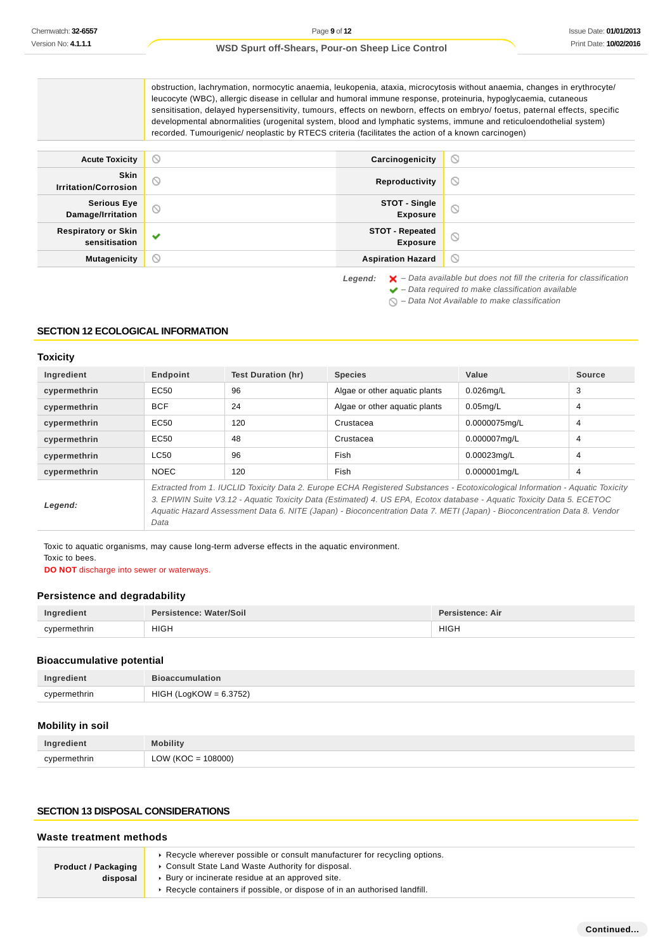obstruction, lachrymation, normocytic anaemia, leukopenia, ataxia, microcytosis without anaemia, changes in erythrocyte/ leucocyte (WBC), allergic disease in cellular and humoral immune response, proteinuria, hypoglycaemia, cutaneous sensitisation, delayed hypersensitivity, tumours, effects on newborn, effects on embryo/ foetus, paternal effects, specific developmental abnormalities (urogenital system, blood and lymphatic systems, immune and reticuloendothelial system) recorded. Tumourigenic/ neoplastic by RTECS criteria (facilitates the action of a known carcinogen)

| <b>Acute Toxicity</b>                       | $\circlearrowright$ | Carcinogenicity                    | $\odot$        |
|---------------------------------------------|---------------------|------------------------------------|----------------|
| Skin<br><b>Irritation/Corrosion</b>         | $\circ$             | Reproductivity                     | $\circledcirc$ |
| <b>Serious Eye</b><br>Damage/Irritation     | $\odot$             | STOT - Single<br><b>Exposure</b>   | $\odot$        |
| <b>Respiratory or Skin</b><br>sensitisation | $\checkmark$        | STOT - Repeated<br><b>Exposure</b> | $\circ$        |
| <b>Mutagenicity</b>                         | ∾                   | <b>Aspiration Hazard</b>           | $\circledcirc$ |

Legend:  $\mathsf{X}$  - Data available but does not fill the criteria for classification  $\blacktriangleright$  – Data required to make classification available

 $\bigcirc$  – Data Not Available to make classification

## **SECTION 12 ECOLOGICAL INFORMATION**

## **Toxicity**

| Ingredient   | Endpoint                                                                                                                                                                                                                                                                                                                                                                                    | <b>Test Duration (hr)</b> | <b>Species</b>                | Value         | Source         |
|--------------|---------------------------------------------------------------------------------------------------------------------------------------------------------------------------------------------------------------------------------------------------------------------------------------------------------------------------------------------------------------------------------------------|---------------------------|-------------------------------|---------------|----------------|
| cypermethrin | EC50                                                                                                                                                                                                                                                                                                                                                                                        | 96                        | Algae or other aguatic plants | $0.026$ mg/L  | 3              |
| cypermethrin | <b>BCF</b>                                                                                                                                                                                                                                                                                                                                                                                  | 24                        | Algae or other aguatic plants | $0.05$ mg/L   | 4              |
| cypermethrin | EC50                                                                                                                                                                                                                                                                                                                                                                                        | 120                       | Crustacea                     | 0.0000075mg/L | $\overline{4}$ |
| cypermethrin | EC50                                                                                                                                                                                                                                                                                                                                                                                        | 48                        | Crustacea                     | 0.000007mg/L  | 4              |
| cypermethrin | LC50                                                                                                                                                                                                                                                                                                                                                                                        | 96                        | Fish                          | 0.00023mg/L   | 4              |
| cypermethrin | <b>NOEC</b>                                                                                                                                                                                                                                                                                                                                                                                 | 120                       | Fish                          | 0.000001mg/L  | 4              |
| Legend:      | Extracted from 1. IUCLID Toxicity Data 2. Europe ECHA Registered Substances - Ecotoxicological Information - Aquatic Toxicity<br>3. EPIWIN Suite V3.12 - Aquatic Toxicity Data (Estimated) 4. US EPA, Ecotox database - Aquatic Toxicity Data 5. ECETOC<br>Aquatic Hazard Assessment Data 6. NITE (Japan) - Bioconcentration Data 7. METI (Japan) - Bioconcentration Data 8. Vendor<br>Data |                           |                               |               |                |

Toxic to aquatic organisms, may cause long-term adverse effects in the aquatic environment. Toxic to bees.

**DO NOT** discharge into sewer or waterways.

#### **Persistence and degradability**

| Ingredient   | Persistence: Water/Soil | <b>Persistence: Air</b> |
|--------------|-------------------------|-------------------------|
| cypermethrin | <b>HIGH</b>             | <b>HIGH</b>             |

### **Bioaccumulative potential**

| Ingredient   | <b>Bioaccumulation</b> |
|--------------|------------------------|
| cypermethrin | HIGH (LogKOW = 6.3752) |

## **Mobility in soil**

| Ingredient   | <b>Mobility</b>      |
|--------------|----------------------|
| cypermethrin | $LOW (KOC = 108000)$ |

### **SECTION 13 DISPOSAL CONSIDERATIONS**

## **Waste treatment methods**

| <b>Product / Packaging</b> | Recycle wherever possible or consult manufacturer for recycling options.<br>Consult State Land Waste Authority for disposal.        |
|----------------------------|-------------------------------------------------------------------------------------------------------------------------------------|
| disposal                   | Bury or incinerate residue at an approved site.<br>$\cdot$ Recycle containers if possible, or dispose of in an authorised landfill. |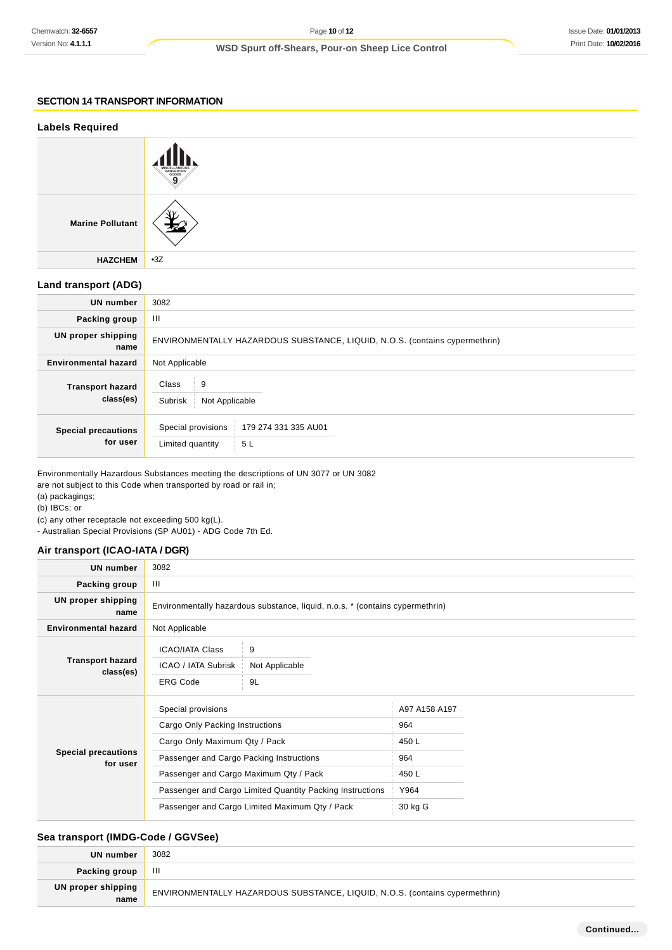## **SECTION 14 TRANSPORT INFORMATION**

| <b>Labels Required</b>               |                                                                             |
|--------------------------------------|-----------------------------------------------------------------------------|
|                                      | DANGEROUS<br>9                                                              |
| <b>Marine Pollutant</b>              |                                                                             |
| <b>HAZCHEM</b>                       | $-3Z$                                                                       |
| <b>Land transport (ADG)</b>          |                                                                             |
| <b>UN number</b>                     | 3082                                                                        |
| Packing group                        | Ш                                                                           |
| <b>UN proper shipping</b><br>name    | ENVIRONMENTALLY HAZARDOUS SUBSTANCE, LIQUID, N.O.S. (contains cypermethrin) |
| <b>Environmental hazard</b>          | Not Applicable                                                              |
| <b>Transport hazard</b><br>class(es) | Class<br>9<br>Subrisk  <br>Not Applicable                                   |
| <b>Special precautions</b>           | Special provisions<br>179 274 331 335 AU01                                  |

Environmentally Hazardous Substances meeting the descriptions of UN 3077 or UN 3082

Limited quantity 5 L

are not subject to this Code when transported by road or rail in;

(a) packagings;

(b) IBCs; or

(c) any other receptacle not exceeding 500 kg(L).

- Australian Special Provisions (SP AU01) - ADG Code 7th Ed.

### **Air transport (ICAO-IATA / DGR)**

**for user**

| <b>UN number</b>                       | 3082                                                                          |                |               |  |
|----------------------------------------|-------------------------------------------------------------------------------|----------------|---------------|--|
| Packing group                          | Ш                                                                             |                |               |  |
| <b>UN proper shipping</b><br>name      | Environmentally hazardous substance, liquid, n.o.s. * (contains cypermethrin) |                |               |  |
| <b>Environmental hazard</b>            | Not Applicable                                                                |                |               |  |
|                                        | <b>ICAO/IATA Class</b>                                                        | 9              |               |  |
| <b>Transport hazard</b><br>class(es)   | ICAO / IATA Subrisk                                                           | Not Applicable |               |  |
|                                        | <b>ERG Code</b>                                                               | 9L             |               |  |
|                                        | Special provisions                                                            |                | A97 A158 A197 |  |
|                                        | Cargo Only Packing Instructions                                               |                | 964           |  |
|                                        | Cargo Only Maximum Qty / Pack                                                 |                | 450L          |  |
| <b>Special precautions</b><br>for user | Passenger and Cargo Packing Instructions                                      |                | 964           |  |
|                                        | Passenger and Cargo Maximum Qty / Pack                                        |                | 450L          |  |
|                                        | Passenger and Cargo Limited Quantity Packing Instructions                     |                | Y964          |  |
|                                        | Passenger and Cargo Limited Maximum Qty / Pack                                |                | 30 kg G       |  |

## **Sea transport (IMDG-Code / GGVSee)**

| UN number                  | 3082                                                                        |
|----------------------------|-----------------------------------------------------------------------------|
| Packing group              | Ш                                                                           |
| UN proper shipping<br>name | ENVIRONMENTALLY HAZARDOUS SUBSTANCE, LIQUID, N.O.S. (contains cypermethrin) |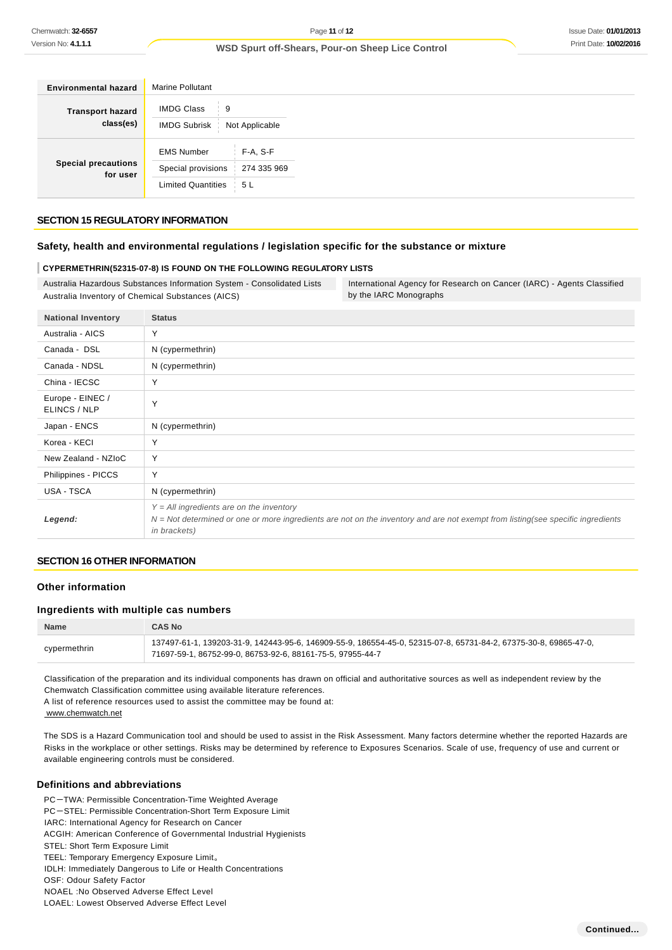| <b>Environmental hazard</b>            | Marine Pollutant                                                                                      |
|----------------------------------------|-------------------------------------------------------------------------------------------------------|
| <b>Transport hazard</b><br>class(es)   | <b>IMDG Class</b><br>9<br>-11<br>IMDG Subrisk   Not Applicable                                        |
| <b>Special precautions</b><br>for user | <b>EMS Number</b><br>F-A, S-F<br>Special provisions   274 335 969<br><b>Limited Quantities</b><br>5 L |

### **SECTION 15 REGULATORY INFORMATION**

#### **Safety, health and environmental regulations / legislation specific for the substance or mixture**

#### **CYPERMETHRIN(52315-07-8) IS FOUND ON THE FOLLOWING REGULATORY LISTS**

Australia Hazardous Substances Information System - Consolidated Lists Australia Inventory of Chemical Substances (AICS)

International Agency for Research on Cancer (IARC) - Agents Classified by the IARC Monographs

| <b>National Inventory</b>        | <b>Status</b>                                                                                                                                                                                           |
|----------------------------------|---------------------------------------------------------------------------------------------------------------------------------------------------------------------------------------------------------|
| Australia - AICS                 | Y                                                                                                                                                                                                       |
| Canada - DSL                     | N (cypermethrin)                                                                                                                                                                                        |
| Canada - NDSL                    | N (cypermethrin)                                                                                                                                                                                        |
| China - IECSC                    | Υ                                                                                                                                                                                                       |
| Europe - EINEC /<br>ELINCS / NLP | Y                                                                                                                                                                                                       |
| Japan - ENCS                     | N (cypermethrin)                                                                                                                                                                                        |
| Korea - KECI                     | Υ                                                                                                                                                                                                       |
| New Zealand - NZIoC              | Υ                                                                                                                                                                                                       |
| Philippines - PICCS              | Y                                                                                                                                                                                                       |
| USA - TSCA                       | N (cypermethrin)                                                                                                                                                                                        |
| Legend:                          | $Y = All$ ingredients are on the inventory<br>$N = Not$ determined or one or more ingredients are not on the inventory and are not exempt from listing(see specific ingredients<br><i>in brackets</i> ) |

#### **SECTION 16 OTHER INFORMATION**

### **Other information**

## **Ingredients with multiple cas numbers**

| <b>Name</b>  | <b>CAS No</b>                                                                                                                                                                  |
|--------------|--------------------------------------------------------------------------------------------------------------------------------------------------------------------------------|
| cypermethrin | 137497-61-1, 139203-31-9, 142443-95-6, 146909-55-9, 186554-45-0, 52315-07-8, 65731-84-2, 67375-30-8, 69865-47-0,<br>71697-59-1, 86752-99-0, 86753-92-6, 88161-75-5, 97955-44-7 |

Classification of the preparation and its individual components has drawn on official and authoritative sources as well as independent review by the Chemwatch Classification committee using available literature references.

A list of reference resources used to assist the committee may be found at:

www.chemwatch.net

The SDS is a Hazard Communication tool and should be used to assist in the Risk Assessment. Many factors determine whether the reported Hazards are Risks in the workplace or other settings. Risks may be determined by reference to Exposures Scenarios. Scale of use, frequency of use and current or available engineering controls must be considered.

#### **Definitions and abbreviations**

PC-TWA: Permissible Concentration-Time Weighted Average

- PC-STEL: Permissible Concentration-Short Term Exposure Limit
- IARC: International Agency for Research on Cancer
- ACGIH: American Conference of Governmental Industrial Hygienists
- STEL: Short Term Exposure Limit
- TEEL: Temporary Emergency Exposure Limit。
- IDLH: Immediately Dangerous to Life or Health Concentrations
- OSF: Odour Safety Factor
- NOAEL :No Observed Adverse Effect Level
- LOAEL: Lowest Observed Adverse Effect Level